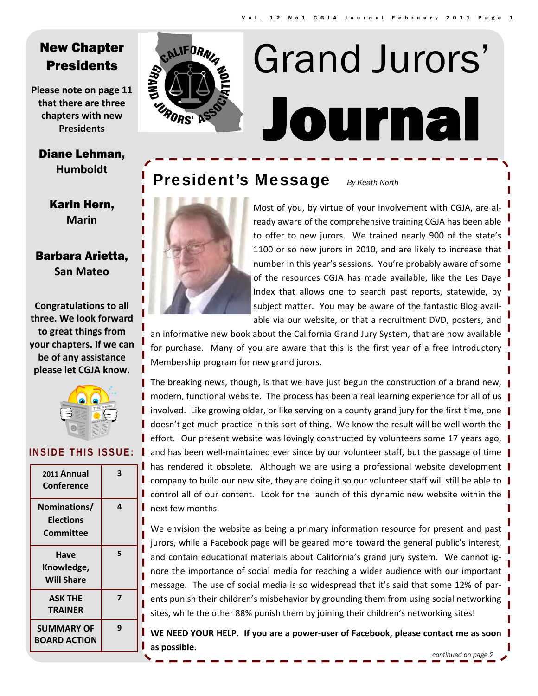# New Chapter **Presidents**

**Please note on page 11 that there are three chapters with new Presidents**

#### Diane Lehman, **Humboldt**

Karin Hern, **Marin**

## Barbara Arietta, **San Mateo**

**Congratulations to all three. We look forward to great things from your chapters. If we can be of any assistance please let CGJA know.**



#### **INSIDE THIS ISSUE:**

| 2011 Annual<br>Conference                     | 3 |
|-----------------------------------------------|---|
| Nominations/<br><b>Elections</b><br>Committee | 4 |
| Have<br>Knowledge,<br><b>Will Share</b>       | 5 |
| <b>ASK THE</b><br><b>TRAINER</b>              | 7 |
| <b>SUMMARY OF</b><br><b>BOARD ACTION</b>      | q |



# Journal Grand Jurors'

# President's Message *By Keath North*



Most of you, by virtue of your involvement with CGJA, are al‐ ready aware of the comprehensive training CGJA has been able to offer to new jurors. We trained nearly 900 of the state's 1100 or so new jurors in 2010, and are likely to increase that number in this year's sessions. You're probably aware of some of the resources CGJA has made available, like the Les Daye Index that allows one to search past reports, statewide, by subject matter. You may be aware of the fantastic Blog avail‐ able via our website, or that a recruitment DVD, posters, and

an informative new book about the California Grand Jury System, that are now available for purchase. Many of you are aware that this is the first year of a free Introductory Membership program for new grand jurors.

The breaking news, though, is that we have just begun the construction of a brand new,  $\parallel$ modern, functional website. The process has been a real learning experience for all of us involved. Like growing older, or like serving on a county grand jury for the first time, one doesn't get much practice in this sort of thing. We know the result will be well worth the effort. Our present website was lovingly constructed by volunteers some 17 years ago,  $\parallel$ and has been well-maintained ever since by our volunteer staff, but the passage of time has rendered it obsolete. Although we are using a professional website development company to build our new site, they are doing it so our volunteer staff will still be able to control all of our content. Look for the launch of this dynamic new website within the next few months.

We envision the website as being a primary information resource for present and past jurors, while a Facebook page will be geared more toward the general public's interest, and contain educational materials about California's grand jury system. We cannot ig‐ nore the importance of social media for reaching a wider audience with our important message. The use of social media is so widespread that it's said that some 12% of par‐ ents punish their children's misbehavior by grounding them from using social networking sites, while the other 88% punish them by joining their children's networking sites!

**WE NEED YOUR HELP. If you are a power‐user of Facebook, please contact me as soon as possible.**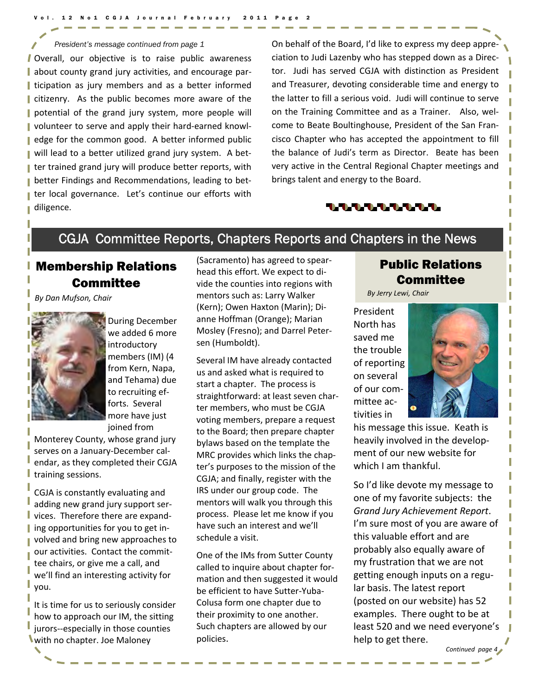#### Vol. 12 No1 CGJA Journal February 2011 Page 2

#### *President's message continued from page 1*

Overall, our objective is to raise public awareness about county grand jury activities, and encourage par‐ I ticipation as jury members and as a better informed citizenry. As the public becomes more aware of the potential of the grand jury system, more people will volunteer to serve and apply their hard‐earned knowl‐ edge for the common good. A better informed public ■ will lead to a better utilized grand jury system. A better trained grand jury will produce better reports, with better Findings and Recommendations, leading to bet‐ ter local governance. Let's continue our efforts with diligence.

On behalf of the Board, I'd like to express my deep appre‐ ciation to Judi Lazenby who has stepped down as a Direc‐ tor. Judi has served CGJA with distinction as President and Treasurer, devoting considerable time and energy to the latter to fill a serious void. Judi will continue to serve on the Training Committee and as a Trainer. Also, wel‐ come to Beate Boultinghouse, President of the San Fran‐ cisco Chapter who has accepted the appointment to fill the balance of Judi's term as Director. Beate has been very active in the Central Regional Chapter meetings and brings talent and energy to the Board.



# CGJA Committee Reports, Chapters Reports and Chapters in the News

# Membership Relations **Committee**

*By Dan Mufson, Chair*



During December we added 6 more introductory members (IM) (4 from Kern, Napa, and Tehama) due to recruiting ef‐ forts. Several more have just joined from

Monterey County, whose grand jury serves on a January‐December cal‐ endar, as they completed their CGJA training sessions.

CGJA is constantly evaluating and adding new grand jury support ser‐ vices. Therefore there are expand‐ ing opportunities for you to get in‐ volved and bring new approaches to our activities. Contact the commit‐ tee chairs, or give me a call, and we'll find an interesting activity for you.

It is time for us to seriously consider how to approach our IM, the sitting jurors--especially in those counties with no chapter. Joe Maloney

(Sacramento) has agreed to spear‐ head this effort. We expect to di‐ vide the counties into regions with mentors such as: Larry Walker (Kern); Owen Haxton (Marin); Di‐ anne Hoffman (Orange); Marian Mosley (Fresno); and Darrel Peter‐ sen (Humboldt).

Several IM have already contacted us and asked what is required to start a chapter. The process is straightforward: at least seven char‐ ter members, who must be CGJA voting members, prepare a request to the Board; then prepare chapter bylaws based on the template the MRC provides which links the chap‐ ter's purposes to the mission of the CGJA; and finally, register with the IRS under our group code. The mentors will walk you through this process. Please let me know if you have such an interest and we'll schedule a visit.

One of the IMs from Sutter County called to inquire about chapter for‐ mation and then suggested it would be efficient to have Sutter‐Yuba‐ Colusa form one chapter due to their proximity to one another. Such chapters are allowed by our policies.

## Public Relations **Committee**

*By Jerry Lewi, Chair*

President North has saved me the trouble of reporting on several of our com‐ mittee ac‐ tivities in



his message this issue. Keath is heavily involved in the develop‐ ment of our new website for which I am thankful.

So I'd like devote my message to one of my favorite subjects: the *Grand Jury Achievement Report*. I'm sure most of you are aware of this valuable effort and are probably also equally aware of my frustration that we are not getting enough inputs on a regu‐ lar basis. The latest report (posted on our website) has 52 examples. There ought to be at least 520 and we need everyone's help to get there.

*Continued page 4*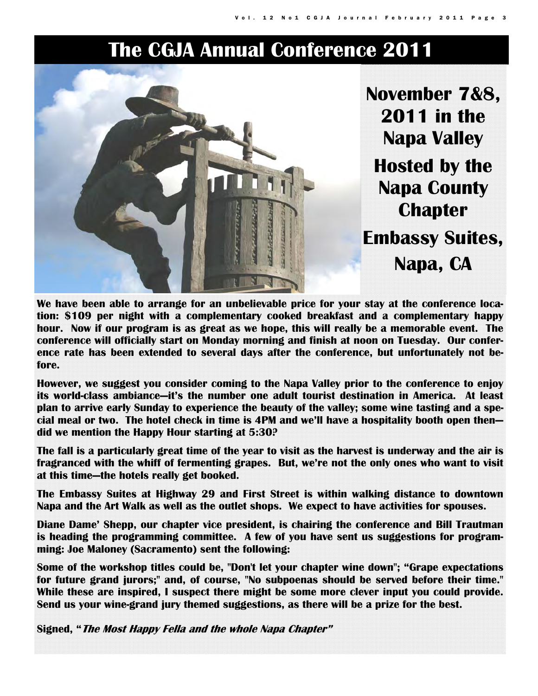# **The CGJA Annual Conference 2011**



**We have been able to arrange for an unbelievable price for your stay at the conference location: \$109 per night with a complementary cooked breakfast and a complementary happy hour. Now if our program is as great as we hope, this will really be a memorable event. The conference will officially start on Monday morning and finish at noon on Tuesday. Our conference rate has been extended to several days after the conference, but unfortunately not before.** 

**However, we suggest you consider coming to the Napa Valley prior to the conference to enjoy its world-class ambiance—it's the number one adult tourist destination in America. At least plan to arrive early Sunday to experience the beauty of the valley; some wine tasting and a special meal or two. The hotel check in time is 4PM and we'll have a hospitality booth open then did we mention the Happy Hour starting at 5:30?** 

**The fall is a particularly great time of the year to visit as the harvest is underway and the air is fragranced with the whiff of fermenting grapes. But, we're not the only ones who want to visit at this time—the hotels really get booked.** 

**The Embassy Suites at Highway 29 and First Street is within walking distance to downtown Napa and the Art Walk as well as the outlet shops. We expect to have activities for spouses.** 

**Diane Dame' Shepp, our chapter vice president, is chairing the conference and Bill Trautman is heading the programming committee. A few of you have sent us suggestions for programming: Joe Maloney (Sacramento) sent the following:** 

**Some of the workshop titles could be, "Don't let your chapter wine down"; "Grape expectations for future grand jurors;" and, of course, "No subpoenas should be served before their time." While these are inspired, I suspect there might be some more clever input you could provide. Send us your wine-grand jury themed suggestions, as there will be a prize for the best.** 

**Signed, "The Most Happy Fella and the whole Napa Chapter"**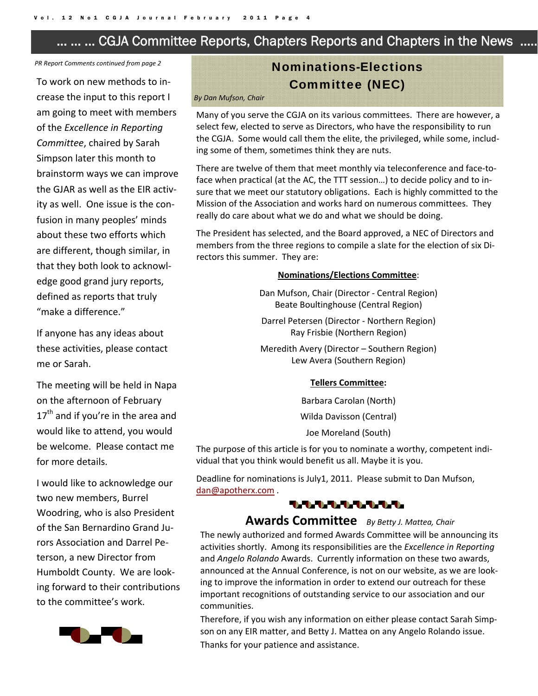# … … … CGJA Committee Reports, Chapters Reports and Chapters in the News ……

*PR Report Comments continued from page 2*

To work on new methods to in‐ crease the input to this report I am going to meet with members of the *Excellence in Reporting Committee*, chaired by Sarah Simpson later this month to brainstorm ways we can improve the GJAR as well as the EIR activ‐ ity as well. One issue is the con‐ fusion in many peoples' minds about these two efforts which are different, though similar, in that they both look to acknowl‐ edge good grand jury reports, defined as reports that truly "make a difference."

If anyone has any ideas about these activities, please contact me or Sarah.

The meeting will be held in Napa on the afternoon of February  $17<sup>th</sup>$  and if you're in the area and would like to attend, you would be welcome. Please contact me for more details.

I would like to acknowledge our two new members, Burrel Woodring, who is also President of the San Bernardino Grand Ju‐ rors Association and Darrel Pe‐ terson, a new Director from Humboldt County. We are look‐ ing forward to their contributions to the committee's work.



# Nominations-Elections Committee (NEC)

#### *By Dan Mufson, Chair*

Many of you serve the CGJA on its various committees. There are however, a select few, elected to serve as Directors, who have the responsibility to run the CGJA. Some would call them the elite, the privileged, while some, includ‐ ing some of them, sometimes think they are nuts.

There are twelve of them that meet monthly via teleconference and face-toface when practical (at the AC, the TTT session…) to decide policy and to in‐ sure that we meet our statutory obligations. Each is highly committed to the Mission of the Association and works hard on numerous committees. They really do care about what we do and what we should be doing.

The President has selected, and the Board approved, a NEC of Directors and members from the three regions to compile a slate for the election of six Di‐ rectors this summer. They are:

#### **Nominations/Elections Committee**:

Dan Mufson, Chair (Director ‐ Central Region) Beate Boultinghouse (Central Region)

Darrel Petersen (Director ‐ Northern Region) Ray Frisbie (Northern Region)

Meredith Avery (Director – Southern Region) Lew Avera (Southern Region)

#### **Tellers Committee:**

Barbara Carolan (North)

Wilda Davisson (Central)

Joe Moreland (South)

The purpose of this article is for you to nominate a worthy, competent indi‐ vidual that you think would benefit us all. Maybe it is you.

Deadline for nominations is July1, 2011. Please submit to Dan Mufson, dan@apotherx.com .

#### 1.1.1.1.1.1.1.1.1.

#### **Awards Committee**  *By Betty J. Mattea, Chair*

The newly authorized and formed Awards Committee will be announcing its activities shortly. Among its responsibilities are the *Excellence in Reporting* and *Angelo Rolando* Awards. Currently information on these two awards, announced at the Annual Conference, is not on our website, as we are look‐ ing to improve the information in order to extend our outreach for these important recognitions of outstanding service to our association and our communities.

Therefore, if you wish any information on either please contact Sarah Simp‐ son on any EIR matter, and Betty J. Mattea on any Angelo Rolando issue. Thanks for your patience and assistance.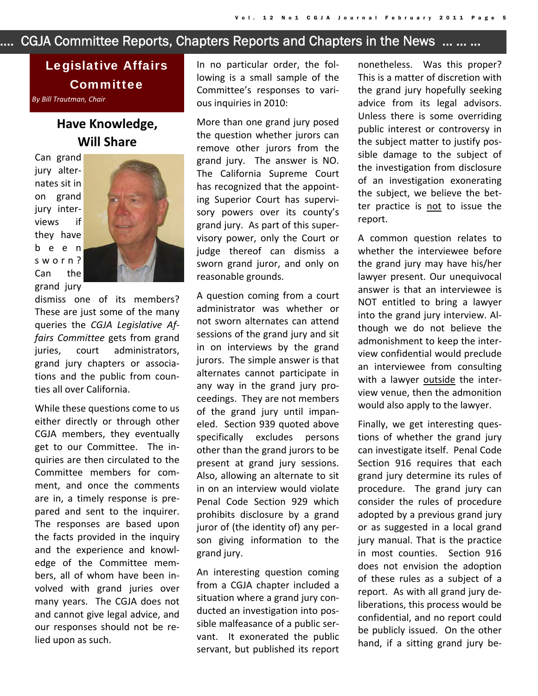# …… CGJA Committee Reports, Chapters Reports and Chapters in the News … … …

# Legislative Affairs Committee *By Bill Trautman, Chair*

# **Have Knowledge, Will Share**

Can grand jury alter‐ nates sit in on grand jury inter‐ views if they have been sworn? Can the grand jury



dismiss one of its members? These are just some of the many queries the *CGJA Legislative Af‐ fairs Committee* gets from grand juries, court administrators, grand jury chapters or associa‐ tions and the public from coun‐ ties all over California.

While these questions come to us either directly or through other CGJA members, they eventually get to our Committee. The in‐ quiries are then circulated to the Committee members for com‐ ment, and once the comments are in, a timely response is pre‐ pared and sent to the inquirer. The responses are based upon the facts provided in the inquiry and the experience and knowl‐ edge of the Committee mem‐ bers, all of whom have been in‐ volved with grand juries over many years. The CGJA does not and cannot give legal advice, and our responses should not be re‐ lied upon as such.

In no particular order, the fol‐ lowing is a small sample of the Committee's responses to vari‐ ous inquiries in 2010:

More than one grand jury posed the question whether jurors can remove other jurors from the grand jury. The answer is NO. The California Supreme Court has recognized that the appoint‐ ing Superior Court has supervi‐ sory powers over its county's grand jury. As part of this super‐ visory power, only the Court or judge thereof can dismiss a sworn grand juror, and only on reasonable grounds.

A question coming from a court administrator was whether or not sworn alternates can attend sessions of the grand jury and sit in on interviews by the grand jurors. The simple answer is that alternates cannot participate in any way in the grand jury pro‐ ceedings. They are not members of the grand jury until impan‐ eled. Section 939 quoted above specifically excludes persons other than the grand jurors to be present at grand jury sessions. Also, allowing an alternate to sit in on an interview would violate Penal Code Section 929 which prohibits disclosure by a grand juror of (the identity of) any per‐ son giving information to the grand jury.

An interesting question coming from a CGJA chapter included a situation where a grand jury con‐ ducted an investigation into pos‐ sible malfeasance of a public ser‐ vant. It exonerated the public servant, but published its report

nonetheless. Was this proper? This is a matter of discretion with the grand jury hopefully seeking advice from its legal advisors. Unless there is some overriding public interest or controversy in the subject matter to justify pos‐ sible damage to the subject of the investigation from disclosure of an investigation exonerating the subject, we believe the bet‐ ter practice is not to issue the report.

A common question relates to whether the interviewee before the grand jury may have his/her lawyer present. Our unequivocal answer is that an interviewee is NOT entitled to bring a lawyer into the grand jury interview. Al‐ though we do not believe the admonishment to keep the inter‐ view confidential would preclude an interviewee from consulting with a lawyer outside the interview venue, then the admonition would also apply to the lawyer.

Finally, we get interesting ques‐ tions of whether the grand jury can investigate itself. Penal Code Section 916 requires that each grand jury determine its rules of procedure. The grand jury can consider the rules of procedure adopted by a previous grand jury or as suggested in a local grand jury manual. That is the practice in most counties. Section 916 does not envision the adoption of these rules as a subject of a report. As with all grand jury de‐ liberations, this process would be confidential, and no report could be publicly issued. On the other hand, if a sitting grand jury be‐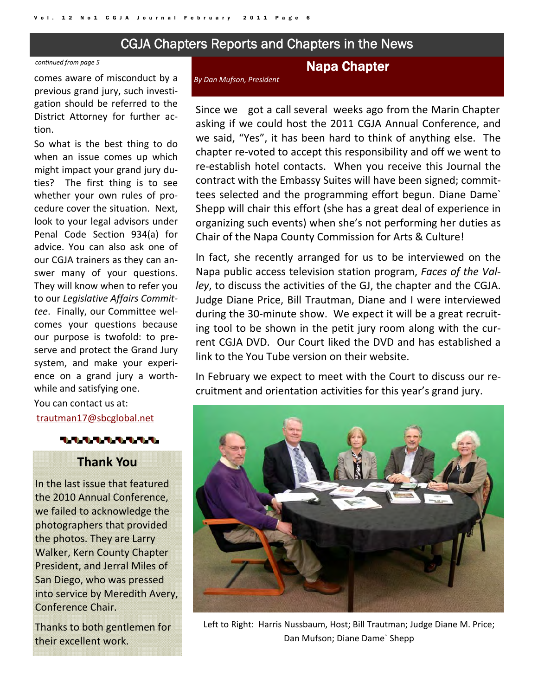# CGJA Chapters Reports and Chapters in the News

#### *continued from page 5*

comes aware of misconduct by a previous grand jury, such investi‐ gation should be referred to the District Attorney for further ac‐ tion.

So what is the best thing to do when an issue comes up which might impact your grand jury du‐ ties? The first thing is to see whether your own rules of procedure cover the situation. Next, look to your legal advisors under Penal Code Section 934(a) for advice. You can also ask one of our CGJA trainers as they can an‐ swer many of your questions. They will know when to refer you to our *Legislative Affairs Commit‐ tee*. Finally, our Committee wel‐ comes your questions because our purpose is twofold: to pre‐ serve and protect the Grand Jury system, and make your experi‐ ence on a grand jury a worth‐ while and satisfying one.

You can contact us at: trautman17@sbcglobal.net



## **Thank You**

In the last issue that featured the 2010 Annual Conference, we failed to acknowledge the photographers that provided the photos. They are Larry Walker, Kern County Chapter President, and Jerral Miles of San Diego, who was pressed into service by Meredith Avery, Conference Chair.

Thanks to both gentlemen for their excellent work.

#### Napa Chapter

*By Dan Mufson, President*

Since we got a call several weeks ago from the Marin Chapter asking if we could host the 2011 CGJA Annual Conference, and we said, "Yes", it has been hard to think of anything else. The chapter re‐voted to accept this responsibility and off we went to re-establish hotel contacts. When you receive this Journal the contract with the Embassy Suites will have been signed; commit‐ tees selected and the programming effort begun. Diane Dame` Shepp will chair this effort (she has a great deal of experience in organizing such events) when she's not performing her duties as Chair of the Napa County Commission for Arts & Culture!

In fact, she recently arranged for us to be interviewed on the Napa public access television station program, *Faces of the Val‐ ley*, to discuss the activities of the GJ, the chapter and the CGJA. Judge Diane Price, Bill Trautman, Diane and I were interviewed during the 30‐minute show. We expect it will be a great recruit‐ ing tool to be shown in the petit jury room along with the cur‐ rent CGJA DVD. Our Court liked the DVD and has established a link to the You Tube version on their website.

In February we expect to meet with the Court to discuss our re‐ cruitment and orientation activities for this year's grand jury.



Left to Right: Harris Nussbaum, Host; Bill Trautman; Judge Diane M. Price; Dan Mufson; Diane Dame` Shepp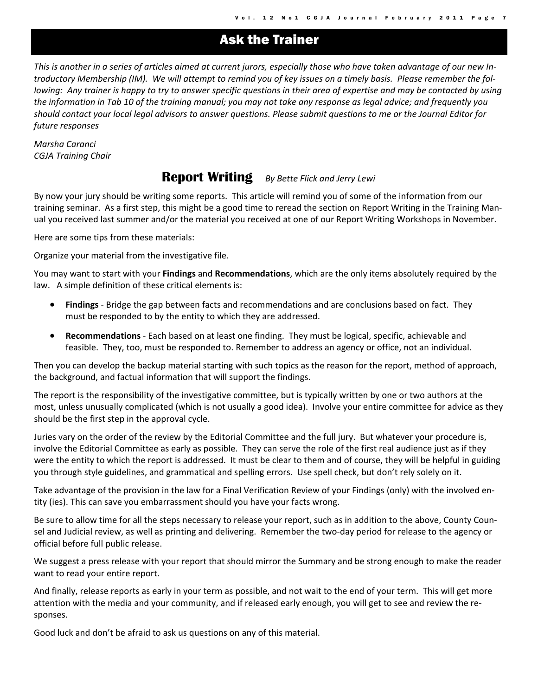# Ask the Trainer

This is another in a series of articles aimed at current jurors, especially those who have taken advantage of our new Introductory Membership (IM). We will attempt to remind you of key issues on a timely basis. Please remember the following: Any trainer is happy to try to answer specific questions in their area of expertise and may be contacted by using the information in Tab 10 of the training manual; you may not take any response as legal advice; and frequently you should contact your local legal advisors to answer questions. Please submit questions to me or the Journal Editor for *future responses*

*Marsha Caranci CGJA Training Chair*

# **Report Writing** *By Bette Flick and Jerry Lewi*

By now your jury should be writing some reports. This article will remind you of some of the information from our training seminar. As a first step, this might be a good time to reread the section on Report Writing in the Training Man‐ ual you received last summer and/or the material you received at one of our Report Writing Workshops in November.

Here are some tips from these materials:

Organize your material from the investigative file.

You may want to start with your **Findings** and **Recommendations**, which are the only items absolutely required by the law. A simple definition of these critical elements is:

- **Findings** ‐ Bridge the gap between facts and recommendations and are conclusions based on fact. They must be responded to by the entity to which they are addressed.
- **Recommendations** ‐ Each based on at least one finding. They must be logical, specific, achievable and feasible. They, too, must be responded to. Remember to address an agency or office, not an individual.

Then you can develop the backup material starting with such topics as the reason for the report, method of approach, the background, and factual information that will support the findings.

The report is the responsibility of the investigative committee, but is typically written by one or two authors at the most, unless unusually complicated (which is not usually a good idea). Involve your entire committee for advice as they should be the first step in the approval cycle.

Juries vary on the order of the review by the Editorial Committee and the full jury. But whatever your procedure is, involve the Editorial Committee as early as possible. They can serve the role of the first real audience just as if they were the entity to which the report is addressed. It must be clear to them and of course, they will be helpful in guiding you through style guidelines, and grammatical and spelling errors. Use spell check, but don't rely solely on it.

Take advantage of the provision in the law for a Final Verification Review of your Findings (only) with the involved en‐ tity (ies). This can save you embarrassment should you have your facts wrong.

Be sure to allow time for all the steps necessary to release your report, such as in addition to the above, County Counsel and Judicial review, as well as printing and delivering. Remember the two-day period for release to the agency or official before full public release.

We suggest a press release with your report that should mirror the Summary and be strong enough to make the reader want to read your entire report.

And finally, release reports as early in your term as possible, and not wait to the end of your term. This will get more attention with the media and your community, and if released early enough, you will get to see and review the re‐ sponses.

Good luck and don't be afraid to ask us questions on any of this material.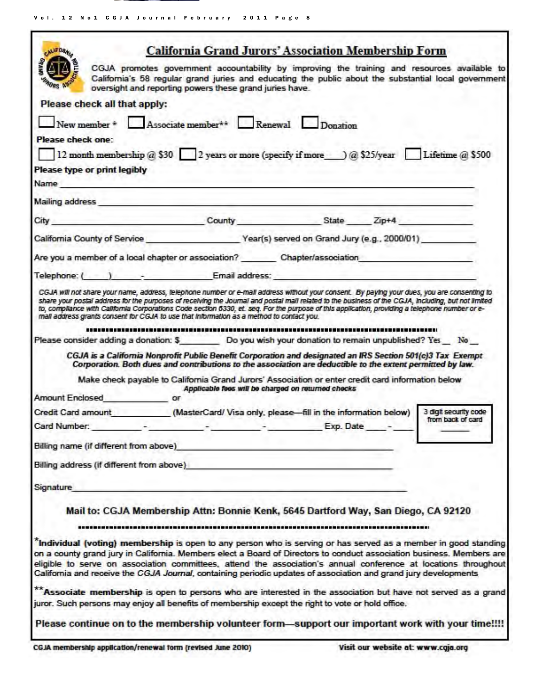Vol. 12 No1 CGJA Journal February 2011 Page 8

| <b>ALLEDRAL</b>                           | <b>California Grand Jurors' Association Membership Form</b>                                                                                                                                                                                                                                                                                                                                                                                                                                                                                                                                                                                                                                                                                                                                                                                                                                       |                                                                                     |                                            |
|-------------------------------------------|---------------------------------------------------------------------------------------------------------------------------------------------------------------------------------------------------------------------------------------------------------------------------------------------------------------------------------------------------------------------------------------------------------------------------------------------------------------------------------------------------------------------------------------------------------------------------------------------------------------------------------------------------------------------------------------------------------------------------------------------------------------------------------------------------------------------------------------------------------------------------------------------------|-------------------------------------------------------------------------------------|--------------------------------------------|
| <b><i>PADRS NO</i></b>                    | CGJA promotes government accountability by improving the training and resources available to<br>California's 58 regular grand juries and educating the public about the substantial local government<br>oversight and reporting powers these grand juries have.                                                                                                                                                                                                                                                                                                                                                                                                                                                                                                                                                                                                                                   |                                                                                     |                                            |
| Please check all that apply:              |                                                                                                                                                                                                                                                                                                                                                                                                                                                                                                                                                                                                                                                                                                                                                                                                                                                                                                   |                                                                                     |                                            |
|                                           | New member $*$ Associate member $**$ Renewal Donation                                                                                                                                                                                                                                                                                                                                                                                                                                                                                                                                                                                                                                                                                                                                                                                                                                             |                                                                                     |                                            |
| Please check one:                         |                                                                                                                                                                                                                                                                                                                                                                                                                                                                                                                                                                                                                                                                                                                                                                                                                                                                                                   |                                                                                     |                                            |
|                                           | 12 month membership @ \$30 2 years or more (specify if more ___) @ \$25/year Lifetime @ \$500                                                                                                                                                                                                                                                                                                                                                                                                                                                                                                                                                                                                                                                                                                                                                                                                     |                                                                                     |                                            |
| Please type or print legibly              |                                                                                                                                                                                                                                                                                                                                                                                                                                                                                                                                                                                                                                                                                                                                                                                                                                                                                                   | and the contract of the contract of the contract of the contract of the contract of |                                            |
|                                           | Name and the contract of the contract of the contract of the contract of the contract of the contract of the contract of the contract of the contract of the contract of the contract of the contract of the contract of the c                                                                                                                                                                                                                                                                                                                                                                                                                                                                                                                                                                                                                                                                    |                                                                                     |                                            |
|                                           | Mailing address and the contract of the contract of the contract of the contract of the contract of the contract of the contract of the contract of the contract of the contract of the contract of the contract of the contra                                                                                                                                                                                                                                                                                                                                                                                                                                                                                                                                                                                                                                                                    |                                                                                     |                                            |
|                                           | City County County State Zip+4                                                                                                                                                                                                                                                                                                                                                                                                                                                                                                                                                                                                                                                                                                                                                                                                                                                                    |                                                                                     |                                            |
|                                           | California County of Service Year(s) served on Grand Jury (e.g., 2000/01)                                                                                                                                                                                                                                                                                                                                                                                                                                                                                                                                                                                                                                                                                                                                                                                                                         |                                                                                     |                                            |
|                                           | Are you a member of a local chapter or association? Chapter/association                                                                                                                                                                                                                                                                                                                                                                                                                                                                                                                                                                                                                                                                                                                                                                                                                           |                                                                                     |                                            |
|                                           | Telephone: ( ) Contract Email address:                                                                                                                                                                                                                                                                                                                                                                                                                                                                                                                                                                                                                                                                                                                                                                                                                                                            |                                                                                     |                                            |
| Amount Enclosed or                        | Please consider adding a donation: \$ Do you wish your donation to remain unpublished? Yes No<br>CGJA is a California Nonprofit Public Benefit Corporation and designated an IRS Section 501(c)3 Tax Exempt<br>Corporation. Both dues and contributions to the association are deductible to the extent permitted by law.<br>Make check payable to California Grand Jurors' Association or enter credit card information below<br>Applicable fees will be charged on returned checks<br>Credit Card amount ___________(MasterCard/ Visa only, please--- fill in the information below)<br>Card Number: The Card Number:                                                                                                                                                                                                                                                                           | Exp. Date                                                                           | 3 digit security code<br>from back of card |
| Billing name (if different from above)    |                                                                                                                                                                                                                                                                                                                                                                                                                                                                                                                                                                                                                                                                                                                                                                                                                                                                                                   |                                                                                     |                                            |
| Billing address (if different from above) |                                                                                                                                                                                                                                                                                                                                                                                                                                                                                                                                                                                                                                                                                                                                                                                                                                                                                                   |                                                                                     |                                            |
| Signature                                 |                                                                                                                                                                                                                                                                                                                                                                                                                                                                                                                                                                                                                                                                                                                                                                                                                                                                                                   |                                                                                     |                                            |
|                                           | Mail to: CGJA Membership Attn: Bonnie Kenk, 5645 Dartford Way, San Diego, CA 92120<br>"Individual (voting) membership is open to any person who is serving or has served as a member in good standing<br>on a county grand jury in California. Members elect a Board of Directors to conduct association business. Members are<br>eligible to serve on association committees, attend the association's annual conference at locations throughout<br>California and receive the CGJA Journal, containing periodic updates of association and grand jury developments<br>** Associate membership is open to persons who are interested in the association but have not served as a grand<br>juror. Such persons may enjoy all benefits of membership except the right to vote or hold office.<br>Please continue on to the membership volunteer form—support our important work with your time!!!! |                                                                                     |                                            |
|                                           |                                                                                                                                                                                                                                                                                                                                                                                                                                                                                                                                                                                                                                                                                                                                                                                                                                                                                                   |                                                                                     |                                            |

CGJA membership application/renewal form (revised June 2010)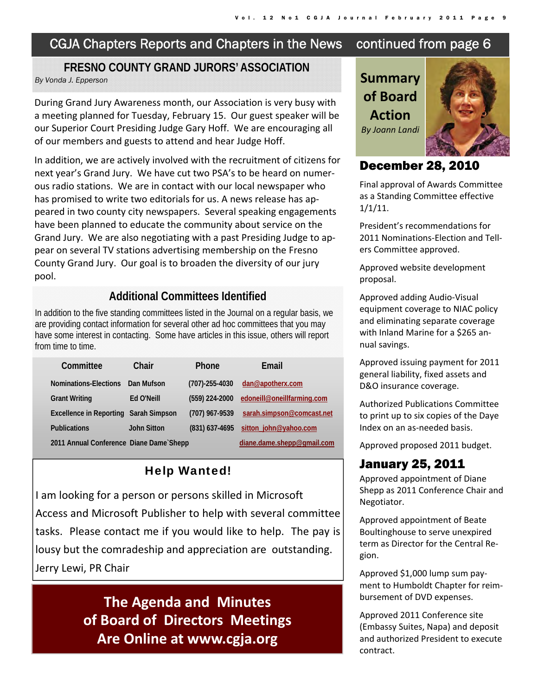# CGJA Chapters Reports and Chapters in the News continued from page 6

#### **FRESNO COUNTY GRAND JURORS' ASSOCIATION By Vonda J. Epperson** *By Vonda J. Epperson*

During Grand Jury Awareness month, our Association is very busy with a meeting planned for Tuesday, February 15. Our guest speaker will be our Superior Court Presiding Judge Gary Hoff. We are encouraging all of our members and guests to attend and hear Judge Hoff.

In addition, we are actively involved with the recruitment of citizens for next year's Grand Jury. We have cut two PSA's to be heard on numer‐ ous radio stations. We are in contact with our local newspaper who has promised to write two editorials for us. A news release has appeared in two county city newspapers. Several speaking engagements have been planned to educate the community about service on the Grand Jury. We are also negotiating with a past Presiding Judge to ap‐ pear on several TV stations advertising membership on the Fresno County Grand Jury. Our goal is to broaden the diversity of our jury pool.

#### **Additional Committees Identified**

In addition to the five standing committees listed in the Journal on a regular basis, we are providing contact information for several other ad hoc committees that you may have some interest in contacting. Some have articles in this issue, others will report from time to time.

| Committee                               | Chair              | <b>Phone</b>         | Email                      |
|-----------------------------------------|--------------------|----------------------|----------------------------|
| Nominations-Elections                   | Dan Mufson         | $(707) - 255 - 4030$ | dan@apotherx.com           |
| <b>Grant Writing</b>                    | Ed O'Neill         | (559) 224-2000       | edoneill@oneillfarming.com |
| Excellence in Reporting Sarah Simpson   |                    | (707) 967-9539       | sarah.simpson@comcast.net  |
| <b>Publications</b>                     | <b>John Sitton</b> | $(831)$ 637-4695     | sitton john@yahoo.com      |
| 2011 Annual Conference Diane Dame Shepp |                    |                      | diane.dame.shepp@gmail.com |

# Help Wanted!

I am looking for a person or persons skilled in Microsoft Access and Microsoft Publisher to help with several committee tasks. Please contact me if you would like to help. The pay is lousy but the comradeship and appreciation are outstanding. Jerry Lewi, PR Chair

> **The Agenda and Minutes of Board of Directors Meetings Are Online at www.cgja.org**

**of Board Action**  *By Joann Landi*



# December 28, 2010

Final approval of Awards Committee as a Standing Committee effective 1/1/11.

President's recommendations for 2011 Nominations‐Election and Tell‐ ers Committee approved.

Approved website development proposal.

Approved adding Audio‐Visual equipment coverage to NIAC policy and eliminating separate coverage with Inland Marine for a \$265 an‐ nual savings.

Approved issuing payment for 2011 general liability, fixed assets and D&O insurance coverage.

Authorized Publications Committee to print up to six copies of the Daye Index on an as‐needed basis.

Approved proposed 2011 budget.

# January 25, 2011

Approved appointment of Diane Shepp as 2011 Conference Chair and Negotiator.

Approved appointment of Beate Boultinghouse to serve unexpired term as Director for the Central Re‐ gion.

Approved \$1,000 lump sum pay‐ ment to Humboldt Chapter for reim‐ bursement of DVD expenses.

Approved 2011 Conference site (Embassy Suites, Napa) and deposit and authorized President to execute contract.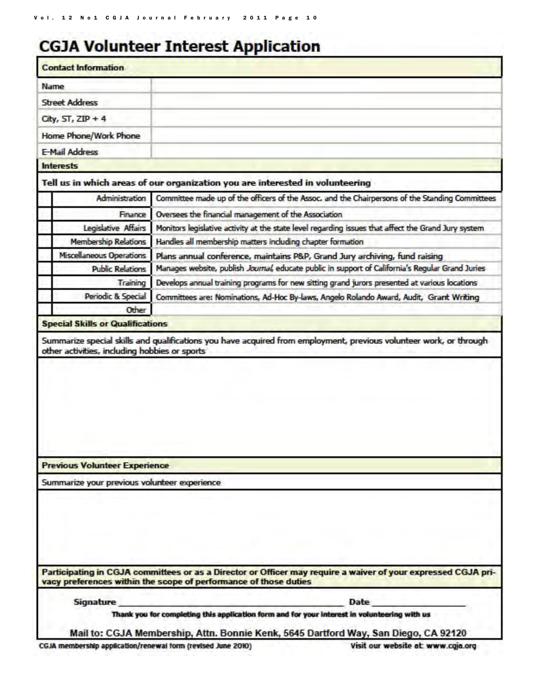# **CGJA Volunteer Interest Application**

| <b>Contact Information</b>                       |                                                                                                                                                                                     |
|--------------------------------------------------|-------------------------------------------------------------------------------------------------------------------------------------------------------------------------------------|
| Name                                             |                                                                                                                                                                                     |
| <b>Street Address</b>                            |                                                                                                                                                                                     |
| City, $ST$ , $ZIP + 4$                           |                                                                                                                                                                                     |
| Home Phone/Work Phone                            |                                                                                                                                                                                     |
| E-Mail Address                                   |                                                                                                                                                                                     |
| <b>Interests</b>                                 |                                                                                                                                                                                     |
|                                                  | Tell us in which areas of our organization you are interested in volunteering                                                                                                       |
| Administration                                   | Committee made up of the officers of the Assoc. and the Chairpersons of the Standing Committees                                                                                     |
| Finance                                          | Oversees the financial management of the Association                                                                                                                                |
| Legislative Affairs                              | Monitors legislative activity at the state level regarding issues that affect the Grand Jury system                                                                                 |
| <b>Membership Relations</b>                      | Handles all membership matters including chapter formation                                                                                                                          |
|                                                  |                                                                                                                                                                                     |
| Miscellaneous Operations                         | Plans annual conference, maintains P&P, Grand Jury archiving, fund raising                                                                                                          |
| <b>Public Relations</b>                          | Manages website, publish Journal, educate public in support of California's Regular Grand Juries                                                                                    |
| Training                                         | Develops annual training programs for new sitting grand jurors presented at various locations                                                                                       |
| Periodic & Special                               | Committees are: Nominations, Ad-Hoc By-laws, Angelo Rolando Award, Audit, Grant Writing                                                                                             |
| Other<br><b>Special Skills or Qualifications</b> |                                                                                                                                                                                     |
| <b>Previous Volunteer Experience</b>             |                                                                                                                                                                                     |
| Summarize your previous volunteer experience     |                                                                                                                                                                                     |
|                                                  | Participating in CGJA committees or as a Director or Officer may require a waiver of your expressed CGJA pri-<br>vacy preferences within the scope of performance of those duties   |
| Signature                                        | <b>Date</b>                                                                                                                                                                         |
|                                                  | Thank you for completing this application form and for your interest in volunteering with us<br>Mail to: CGJA Membership, Attn. Bonnie Kenk, 5645 Dartford Way, San Diego, CA 92120 |

CGJA membership application/renewal form (revised June 2010)

Visit our website at: www.cgja.org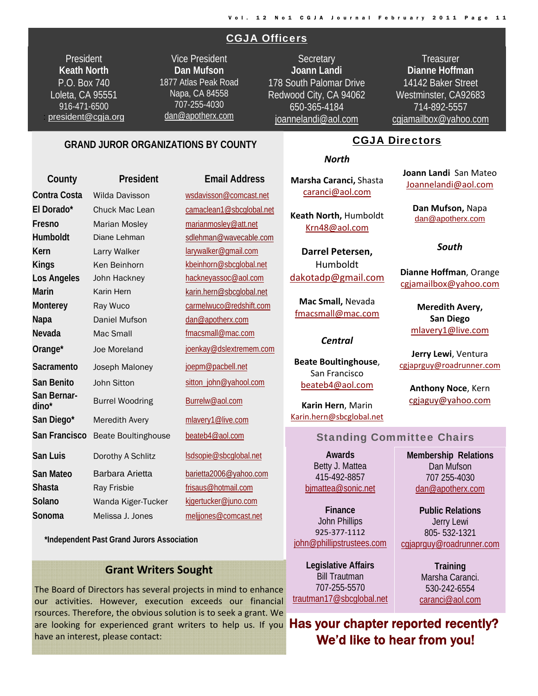#### CGJA Officers

President **Keath North**  P.O. Box 740 Loleta, CA 95551 916-471-6500 president@cgja.org

Vice President **Dan Mufson** 1877 Atlas Peak Road Napa, CA 84558 707-255-4030 dan@apotherx.com

**Secretary Joann Landi** 178 South Palomar Drive Redwood City, CA 94062 650-365-4184 joannelandi@aol.com

**Treasurer Dianne Hoffman**  14142 Baker Street Westminster, CA92683 714-892-5557 cgjamailbox@yahoo.com

> **Joann Landi** San Mateo Joannelandi@aol.com

> > **Dan Mufson,** Napa dan@apotherx.com

> > > *South*

**Dianne Hoffman**, Orange cgjamailbox@yahoo.com

> **Meredith Avery, San Diego** mlavery1@live.com

#### **GRAND JUROR ORGANIZATIONS BY COUNTY**

**County President Email Address Contra Costa** Wilda Davisson wsdavisson@comcast.net **El Dorado\*** Chuck Mac Lean camaclean1@sbcglobal.net **Fresno** Marian Mosley marianmosley@att.net Humboldt Diane Lehman Sdlehman@wavecable.com **Kern** Larry Walker larywalker@gmail.com Kings Ken Beinhorn kbeinhorn@sbcglobal.net Los Angeles John Hackney **hackneyassoc@aol.com Marin** Karin Hern karin.hern@sbcglobal.net **Monterey Ray Wuco carmelwuco@redshift.com** Napa **Daniel Mufson** dan@apotherx.com **Nevada** Mac Small **Mac Small fmacsmall@mac.com Orange\*** Joe Moreland joenkay@dslextremem.com Sacramento Joseph Maloney **joepm@pacbell.net** San Benito John Sitton sitton sitton politics and Benito **San Bernardino\*** Burrel Woodring Burrelw@aol.com San Diego\* Meredith Avery mlavery1@live.com San Francisco Beate Boultinghouse beateb4@aol.com **San Luis** Dorothy A Schlitz lsdsopie@sbcglobal.net San Mateo Barbara Arietta barietta2006@yahoo.com **Shasta** Ray Frisbie **Ray Frisbie** frisaus@hotmail.com Solano Wanda Kiger-Tucker kjgertucker@juno.com **Sonoma** Melissa J. Jones meljjones@comcast.net

 **\*Independent Past Grand Jurors Association**

#### **Grant Writers Sought**

The Board of Directors has several projects in mind to enhance our activities. However, execution exceeds our financial rsources. Therefore, the obvious solution is to seek a grant. We are looking for experienced grant writers to help us. If you have an interest, please contact:

#### *North*

CGJA Directors

**Marsha Caranci,** Shasta caranci@aol.com

**Keath North,** Humboldt Krn48@aol.com

**Darrel Petersen,** Humboldt dakotadp@gmail.com

**Mac Small,** Nevada fmacsmall@mac.com

San Francisco beateb4@aol.com

#### Standing Committee Chairs

**Awards**  Betty J. Mattea 415-492-8857 bjmattea@sonic.net

**Finance**  John Phillips 925‐377‐1112 john@phillipstrustees.com

**Legislative Affairs**  Bill Trautman 707-255-5570 trautman17@sbcglobal.net

Jerry Lewi 805- 532-1321 cgjaprguy@roadrunner.com

**Public Relations** 

**Training**  Marsha Caranci. 530-242-6554 caranci@aol.com

Has your chapter reported recently? We'd like to hear from you!

#### *Central*

**Beate Boultinghouse**,

**Karin Hern**, Marin Karin.hern@sbcglobal.net

**Jerry Lewi**, Ventura cgjaprguy@roadrunner.com **Anthony Noce**, Kern

cgjaguy@yahoo.com

**Membership Relations**  Dan Mufson 707 255-4030 dan@apotherx.com